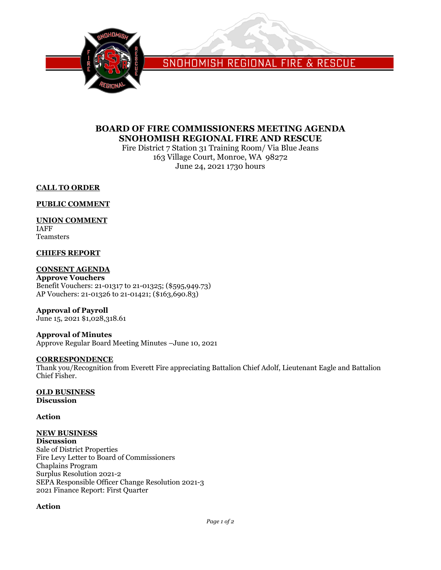

SNOHOMISH REGIONAL FIRE & RESCUE

## **BOARD OF FIRE COMMISSIONERS MEETING AGENDA SNOHOMISH REGIONAL FIRE AND RESCUE**

Fire District 7 Station 31 Training Room/ Via Blue Jeans 163 Village Court, Monroe, WA 98272 June 24, 2021 1730 hours

### **CALL TO ORDER**

#### **PUBLIC COMMENT**

#### **UNION COMMENT**

IAFF Teamsters

#### **CHIEFS REPORT**

### **CONSENT AGENDA**

**Approve Vouchers** Benefit Vouchers: 21-01317 to 21-01325; (\$595,949.73) AP Vouchers: 21-01326 to 21-01421; (\$163,690.83)

### **Approval of Payroll**

June 15, 2021 \$1,028,318.61

# **Approval of Minutes**

Approve Regular Board Meeting Minutes –June 10, 2021

#### **CORRESPONDENCE**

Thank you/Recognition from Everett Fire appreciating Battalion Chief Adolf, Lieutenant Eagle and Battalion Chief Fisher.

# **OLD BUSINESS**

**Discussion**

#### **Action**

# **NEW BUSINESS**

**Discussion** Sale of District Properties Fire Levy Letter to Board of Commissioners Chaplains Program Surplus Resolution 2021-2 SEPA Responsible Officer Change Resolution 2021-3 2021 Finance Report: First Quarter

## **Action**